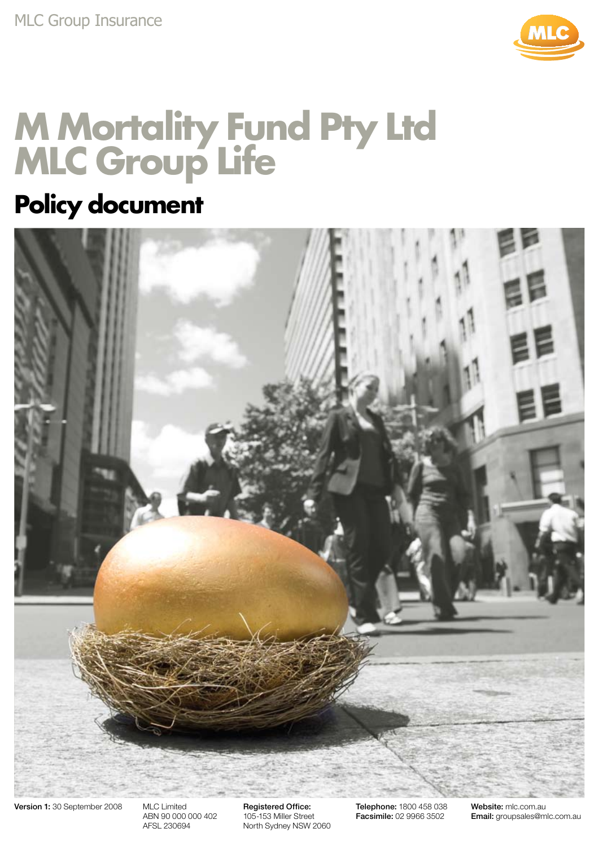

## **M Mortality Fund Pty Ltd MLC Group Life**

### **Policy document**



Version 1: 30 September 2008 MLC Limited

ABN 90 000 000 402 AFSL 230694

Registered Office: 105-153 Miller Street North Sydney NSW 2060 Telephone: 1800 458 038 Facsimile: 02 9966 3502

Website: mlc.com.au Email: groupsales@mlc.com.au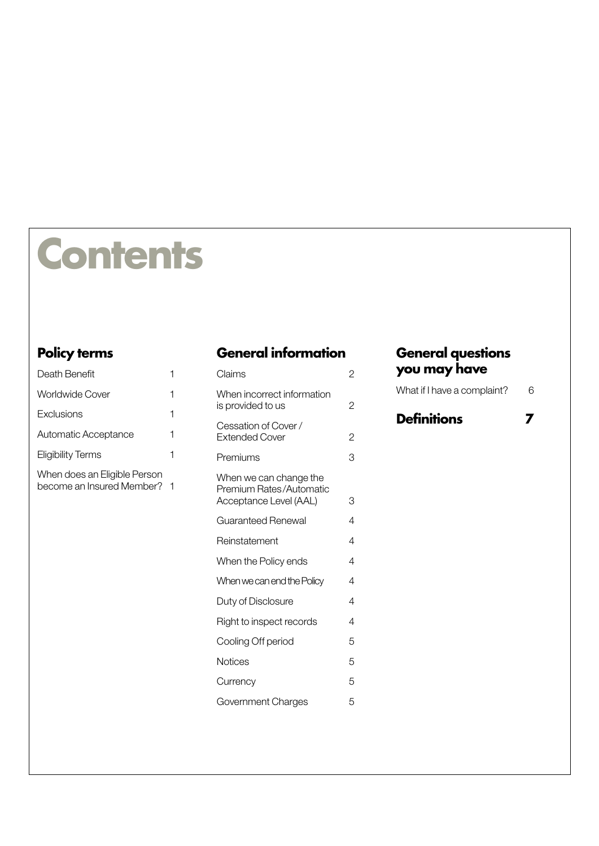# **Contents**

#### **[Policy terms](#page-4-0)**

| Death Benefit                                               | 1 | Claims                                                                      | $\overline{2}$ |
|-------------------------------------------------------------|---|-----------------------------------------------------------------------------|----------------|
| <b>Worldwide Cover</b>                                      | 1 | When incorrect information                                                  |                |
| Exclusions                                                  | 1 | is provided to us                                                           | $\overline{2}$ |
| Automatic Acceptance                                        | 1 | Cessation of Cover /<br><b>Extended Cover</b>                               | $\overline{2}$ |
| <b>Eligibility Terms</b>                                    | 1 | Premiums                                                                    | 3              |
| When does an Eligible Person<br>become an Insured Member? 1 |   | When we can change the<br>Premium Rates/Automatic<br>Acceptance Level (AAL) | 3              |
|                                                             |   | <b>Guaranteed Renewal</b>                                                   | 4              |
|                                                             |   | Reinstatement                                                               | 4              |
|                                                             |   | When the Policy ends                                                        | 4              |
|                                                             |   | When we can end the Policy                                                  | 4              |
|                                                             |   | Duty of Disclosure                                                          | 4              |
|                                                             |   | Right to inspect records                                                    | 4              |
|                                                             |   | Cooling Off period                                                          | 5              |
|                                                             |   | <b>Notices</b>                                                              | 5              |
|                                                             |   | Currency                                                                    | 5              |
|                                                             |   | Government Charges                                                          | 5              |
|                                                             |   |                                                                             |                |

#### **[General information](#page-5-0)**

| When incorrect information<br>is provided to us                             | $\overline{c}$ |
|-----------------------------------------------------------------------------|----------------|
| Cessation of Cover /<br><b>Extended Cover</b>                               | 2              |
| Premiums                                                                    | 3              |
| When we can change the<br>Premium Rates/Automatic<br>Acceptance Level (AAL) | 3              |
| Guaranteed Renewal                                                          | 4              |
| Reinstatement                                                               | 4              |
| When the Policy ends                                                        | 4              |
| When we can end the Policy                                                  | 4              |
| Duty of Disclosure                                                          | 4              |
| Right to inspect records                                                    | 4              |
| Cooling Off period                                                          | 5              |
| Notices                                                                     | 5              |
| Currency                                                                    | 5              |
| Government Charges                                                          | 5              |

#### **[General questions](#page-9-0)  [you may have](#page-9-0)**

| What if I have a complaint? | 6 |
|-----------------------------|---|
|-----------------------------|---|

| <b>Definitions</b> |  |
|--------------------|--|
|--------------------|--|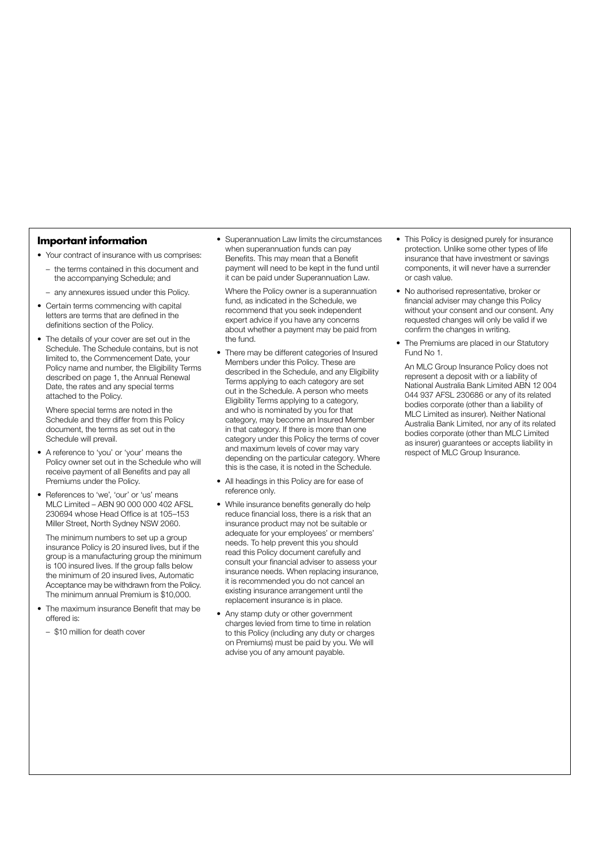#### **Important information**

- Your contract of insurance with us comprises:
- the terms contained in this document and the accompanying Schedule; and
- any annexures issued under this Policy.
- Certain terms commencing with capital letters are terms that are defined in the definitions section of the Policy.
- The details of your cover are set out in the Schedule. The Schedule contains, but is not limited to, the Commencement Date, your Policy name and number, the Eligibility Terms described on page 1, the Annual Renewal Date, the rates and any special terms attached to the Policy.

Where special terms are noted in the Schedule and they differ from this Policy document, the terms as set out in the Schedule will prevail.

- A reference to 'you' or 'your' means the Policy owner set out in the Schedule who will receive payment of all Benefits and pay all Premiums under the Policy.
- References to 'we', 'our' or 'us' means MLC Limited – ABN 90 000 000 402 AFSL 230694 whose Head Office is at 105–153 Miller Street, North Sydney NSW 2060.

The minimum numbers to set up a group insurance Policy is 20 insured lives, but if the group is a manufacturing group the minimum is 100 insured lives. If the group falls below the minimum of 20 insured lives, Automatic Acceptance may be withdrawn from the Policy. The minimum annual Premium is \$10,000.

- The maximum insurance Benefit that may be offered is:
	- \$10 million for death cover

• Superannuation Law limits the circumstances when superannuation funds can pay Benefits. This may mean that a Benefit payment will need to be kept in the fund until it can be paid under Superannuation Law.

Where the Policy owner is a superannuation fund, as indicated in the Schedule, we recommend that you seek independent expert advice if you have any concerns about whether a payment may be paid from the fund.

- There may be different categories of Insured Members under this Policy. These are described in the Schedule, and any Eligibility Terms applying to each category are set out in the Schedule. A person who meets Eligibility Terms applying to a category, and who is nominated by you for that category, may become an Insured Member in that category. If there is more than one category under this Policy the terms of cover and maximum levels of cover may vary depending on the particular category. Where this is the case, it is noted in the Schedule.
- All headings in this Policy are for ease of reference only.
- While insurance benefits generally do help reduce financial loss, there is a risk that an insurance product may not be suitable or adequate for your employees' or members' needs. To help prevent this you should read this Policy document carefully and consult your financial adviser to assess your insurance needs. When replacing insurance, it is recommended you do not cancel an existing insurance arrangement until the replacement insurance is in place.
- Any stamp duty or other government charges levied from time to time in relation to this Policy (including any duty or charges on Premiums) must be paid by you. We will advise you of any amount payable.
- This Policy is designed purely for insurance protection. Unlike some other types of life insurance that have investment or savings components, it will never have a surrender or cash value.
- No authorised representative, broker or financial adviser may change this Policy without your consent and our consent. Any requested changes will only be valid if we confirm the changes in writing.
- The Premiums are placed in our Statutory Fund No 1.

An MLC Group Insurance Policy does not represent a deposit with or a liability of National Australia Bank Limited ABN 12 004 044 937 AFSL 230686 or any of its related bodies corporate (other than a liability of MLC Limited as insurer). Neither National Australia Bank Limited, nor any of its related bodies corporate (other than MLC Limited as insurer) guarantees or accepts liability in respect of MLC Group Insurance.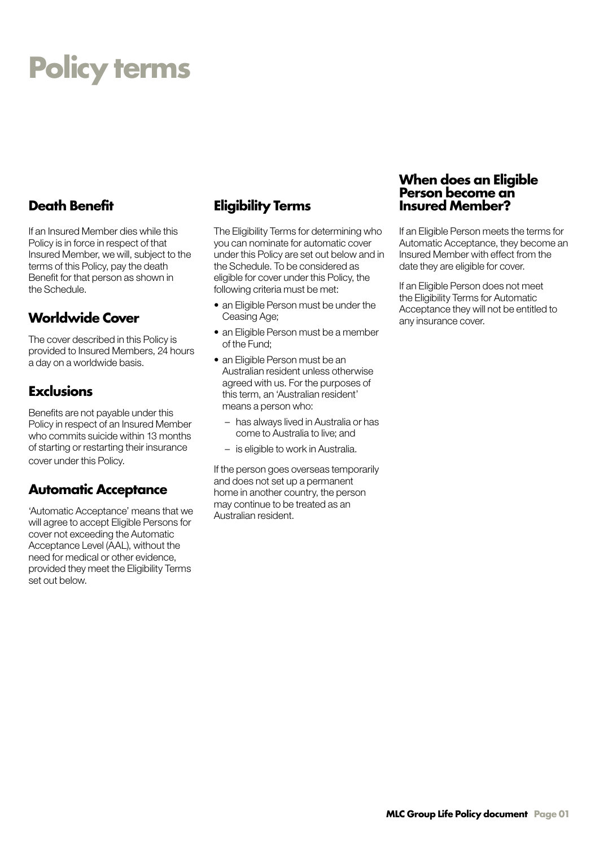## <span id="page-4-0"></span>**Policy terms**

If an Insured Member dies while this Policy is in force in respect of that Insured Member, we will, subject to the terms of this Policy, pay the death Benefit for that person as shown in the Schedule.

#### **Worldwide Cover**

The cover described in this Policy is provided to Insured Members, 24 hours a day on a worldwide basis.

#### **Exclusions**

Benefits are not payable under this Policy in respect of an Insured Member who commits suicide within 13 months of starting or restarting their insurance cover under this Policy.

#### **Automatic Acceptance**

'Automatic Acceptance' means that we will agree to accept Eligible Persons for cover not exceeding the Automatic Acceptance Level (AAL), without the need for medical or other evidence, provided they meet the Eligibility Terms set out below.

#### **Death Benefit Eligibility Terms**

The Eligibility Terms for determining who you can nominate for automatic cover under this Policy are set out below and in the Schedule. To be considered as eligible for cover under this Policy, the following criteria must be met:

- an Eligible Person must be under the Ceasing Age;
- an Eligible Person must be a member of the Fund;
- an Eligible Person must be an Australian resident unless otherwise agreed with us. For the purposes of this term, an 'Australian resident' means a person who:
	- has always lived in Australia or has come to Australia to live; and
	- is eligible to work in Australia.

If the person goes overseas temporarily and does not set up a permanent home in another country, the person may continue to be treated as an Australian resident.

#### **When does an Eligible Person become an Insured Member?**

If an Eligible Person meets the terms for Automatic Acceptance, they become an Insured Member with effect from the date they are eligible for cover.

If an Eligible Person does not meet the Eligibility Terms for Automatic Acceptance they will not be entitled to any insurance cover.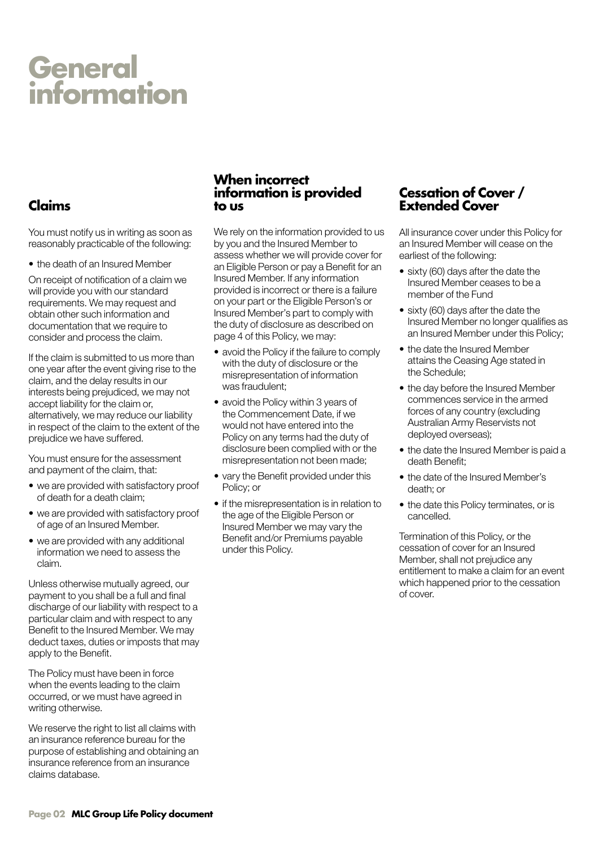## <span id="page-5-0"></span>**General information**

#### **Claims**

You must notify us in writing as soon as reasonably practicable of the following:

• the death of an Insured Member

On receipt of notification of a claim we will provide you with our standard requirements. We may request and obtain other such information and documentation that we require to consider and process the claim.

If the claim is submitted to us more than one year after the event giving rise to the claim, and the delay results in our interests being prejudiced, we may not accept liability for the claim or, alternatively, we may reduce our liability in respect of the claim to the extent of the prejudice we have suffered.

You must ensure for the assessment and payment of the claim, that:

- we are provided with satisfactory proof of death for a death claim;
- we are provided with satisfactory proof of age of an Insured Member.
- we are provided with any additional information we need to assess the claim.

Unless otherwise mutually agreed, our payment to you shall be a full and final discharge of our liability with respect to a particular claim and with respect to any Benefit to the Insured Member. We may deduct taxes, duties or imposts that may apply to the Benefit.

The Policy must have been in force when the events leading to the claim occurred, or we must have agreed in writing otherwise.

We reserve the right to list all claims with an insurance reference bureau for the purpose of establishing and obtaining an insurance reference from an insurance claims database.

#### **When incorrect information is provided to us**

We rely on the information provided to us by you and the Insured Member to assess whether we will provide cover for an Eligible Person or pay a Benefit for an Insured Member. If any information provided is incorrect or there is a failure on your part or the Eligible Person's or Insured Member's part to comply with the duty of disclosure as described on page 4 of this Policy, we may:

- avoid the Policy if the failure to comply with the duty of disclosure or the misrepresentation of information was fraudulent;
- avoid the Policy within 3 years of the Commencement Date, if we would not have entered into the Policy on any terms had the duty of disclosure been complied with or the misrepresentation not been made;
- vary the Benefit provided under this Policy; or
- if the misrepresentation is in relation to the age of the Eligible Person or Insured Member we may vary the Benefit and/or Premiums payable under this Policy.

#### **Cessation of Cover / Extended Cover**

All insurance cover under this Policy for an Insured Member will cease on the earliest of the following:

- sixty (60) days after the date the Insured Member ceases to be a member of the Fund
- sixty (60) days after the date the Insured Member no longer qualifies as an Insured Member under this Policy;
- the date the Insured Member attains the Ceasing Age stated in the Schedule;
- the day before the Insured Member commences service in the armed forces of any country (excluding Australian Army Reservists not deployed overseas);
- the date the Insured Member is paid a death Benefit;
- the date of the Insured Member's death; or
- the date this Policy terminates, or is cancelled.

Termination of this Policy, or the cessation of cover for an Insured Member, shall not prejudice any entitlement to make a claim for an event which happened prior to the cessation of cover.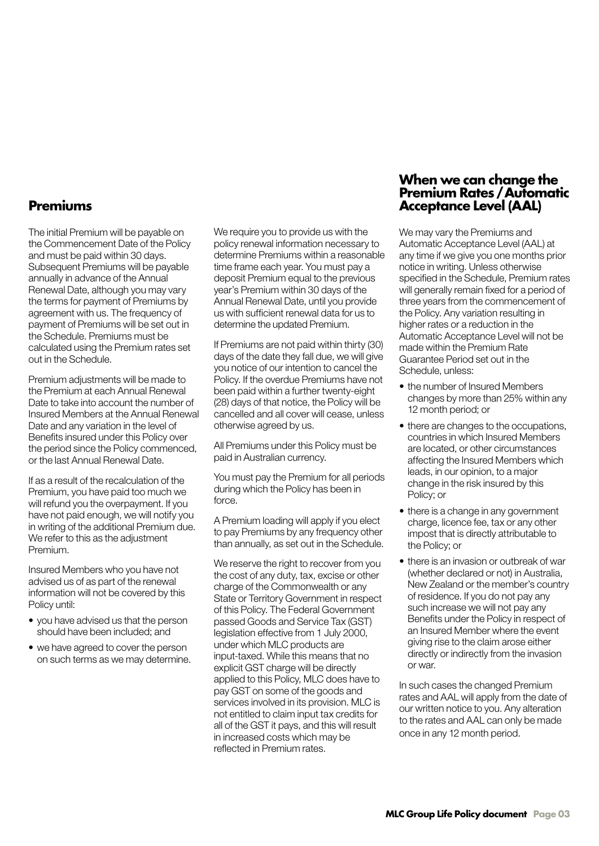#### <span id="page-6-0"></span>**Premiums**

The initial Premium will be payable on the Commencement Date of the Policy and must be paid within 30 days. Subsequent Premiums will be payable annually in advance of the Annual Renewal Date, although you may vary the terms for payment of Premiums by agreement with us. The frequency of payment of Premiums will be set out in the Schedule. Premiums must be calculated using the Premium rates set out in the Schedule.

Premium adjustments will be made to the Premium at each Annual Renewal Date to take into account the number of Insured Members at the Annual Renewal Date and any variation in the level of Benefits insured under this Policy over the period since the Policy commenced, or the last Annual Renewal Date.

If as a result of the recalculation of the Premium, you have paid too much we will refund you the overpayment. If you have not paid enough, we will notify you in writing of the additional Premium due. We refer to this as the adjustment Premium.

Insured Members who you have not advised us of as part of the renewal information will not be covered by this Policy until:

- you have advised us that the person should have been included; and
- we have agreed to cover the person on such terms as we may determine.

We require you to provide us with the policy renewal information necessary to determine Premiums within a reasonable time frame each year. You must pay a deposit Premium equal to the previous year's Premium within 30 days of the Annual Renewal Date, until you provide us with sufficient renewal data for us to determine the updated Premium.

If Premiums are not paid within thirty (30) days of the date they fall due, we will give you notice of our intention to cancel the Policy. If the overdue Premiums have not been paid within a further twenty-eight (28) days of that notice, the Policy will be cancelled and all cover will cease, unless otherwise agreed by us.

All Premiums under this Policy must be paid in Australian currency.

You must pay the Premium for all periods during which the Policy has been in force.

A Premium loading will apply if you elect to pay Premiums by any frequency other than annually, as set out in the Schedule.

We reserve the right to recover from you the cost of any duty, tax, excise or other charge of the Commonwealth or any State or Territory Government in respect of this Policy. The Federal Government passed Goods and Service Tax (GST) legislation effective from 1 July 2000, under which MLC products are input-taxed. While this means that no explicit GST charge will be directly applied to this Policy, MLC does have to pay GST on some of the goods and services involved in its provision. MLC is not entitled to claim input tax credits for all of the GST it pays, and this will result in increased costs which may be reflected in Premium rates.

#### **When we can change the Premium Rates / Automatic Acceptance Level (AAL)**

We may vary the Premiums and Automatic Acceptance Level (AAL) at any time if we give you one months prior notice in writing. Unless otherwise specified in the Schedule, Premium rates will generally remain fixed for a period of three years from the commencement of the Policy. Any variation resulting in higher rates or a reduction in the Automatic Acceptance Level will not be made within the Premium Rate Guarantee Period set out in the Schedule, unless:

- the number of Insured Members changes by more than 25% within any 12 month period; or
- there are changes to the occupations, countries in which Insured Members are located, or other circumstances affecting the Insured Members which leads, in our opinion, to a major change in the risk insured by this Policy; or
- there is a change in any government charge, licence fee, tax or any other impost that is directly attributable to the Policy; or
- there is an invasion or outbreak of war (whether declared or not) in Australia, New Zealand or the member's country of residence. If you do not pay any such increase we will not pay any Benefits under the Policy in respect of an Insured Member where the event giving rise to the claim arose either directly or indirectly from the invasion or war.

In such cases the changed Premium rates and AAL will apply from the date of our written notice to you. Any alteration to the rates and AAL can only be made once in any 12 month period.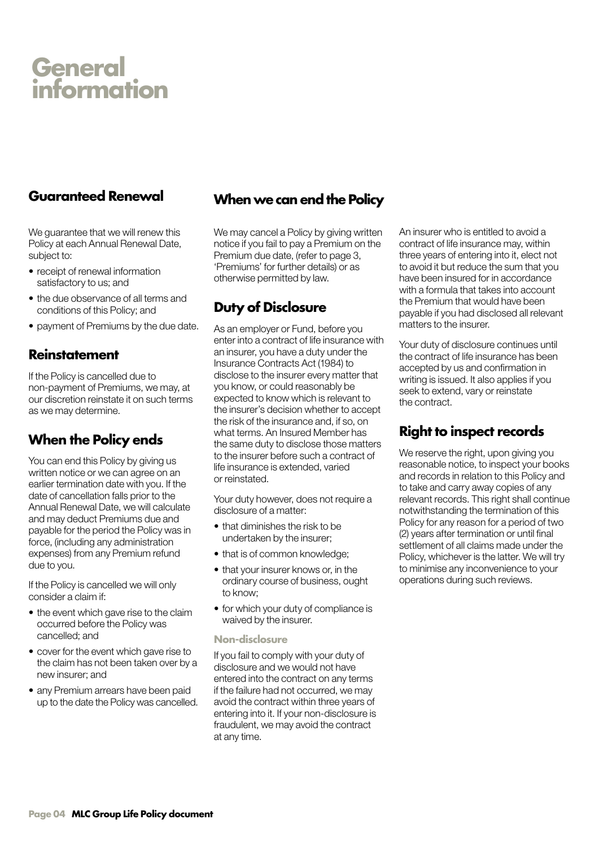### <span id="page-7-0"></span>**General information**

#### **Guaranteed Renewal**

We guarantee that we will renew this Policy at each Annual Renewal Date, subject to:

- receipt of renewal information satisfactory to us; and
- the due observance of all terms and conditions of this Policy; and
- payment of Premiums by the due date.

#### **Reinstatement**

If the Policy is cancelled due to non-payment of Premiums, we may, at our discretion reinstate it on such terms as we may determine.

#### **When the Policy ends**

You can end this Policy by giving us written notice or we can agree on an earlier termination date with you. If the date of cancellation falls prior to the Annual Renewal Date, we will calculate and may deduct Premiums due and payable for the period the Policy was in force, (including any administration expenses) from any Premium refund due to you.

If the Policy is cancelled we will only consider a claim if:

- the event which gave rise to the claim occurred before the Policy was cancelled; and
- cover for the event which gave rise to the claim has not been taken over by a new insurer; and
- any Premium arrears have been paid up to the date the Policy was cancelled.

#### **When we can end the Policy**

We may cancel a Policy by giving written notice if you fail to pay a Premium on the Premium due date, (refer to page 3, 'Premiums' for further details) or as otherwise permitted by law.

#### **Duty of Disclosure**

As an employer or Fund, before you enter into a contract of life insurance with an insurer, you have a duty under the Insurance Contracts Act (1984) to disclose to the insurer every matter that you know, or could reasonably be expected to know which is relevant to the insurer's decision whether to accept the risk of the insurance and, if so, on what terms. An Insured Member has the same duty to disclose those matters to the insurer before such a contract of life insurance is extended, varied or reinstated.

Your duty however, does not require a disclosure of a matter:

- that diminishes the risk to be undertaken by the insurer;
- that is of common knowledge;
- that your insurer knows or, in the ordinary course of business, ought to know;
- for which your duty of compliance is waived by the insurer.

#### **Non-disclosure**

If you fail to comply with your duty of disclosure and we would not have entered into the contract on any terms if the failure had not occurred, we may avoid the contract within three years of entering into it. If your non-disclosure is fraudulent, we may avoid the contract at any time.

An insurer who is entitled to avoid a contract of life insurance may, within three years of entering into it, elect not to avoid it but reduce the sum that you have been insured for in accordance with a formula that takes into account the Premium that would have been payable if you had disclosed all relevant matters to the insurer.

Your duty of disclosure continues until the contract of life insurance has been accepted by us and confirmation in writing is issued. It also applies if you seek to extend, vary or reinstate the contract.

#### **Right to inspect records**

We reserve the right, upon giving you reasonable notice, to inspect your books and records in relation to this Policy and to take and carry away copies of any relevant records. This right shall continue notwithstanding the termination of this Policy for any reason for a period of two (2) years after termination or until final settlement of all claims made under the Policy, whichever is the latter. We will try to minimise any inconvenience to your operations during such reviews.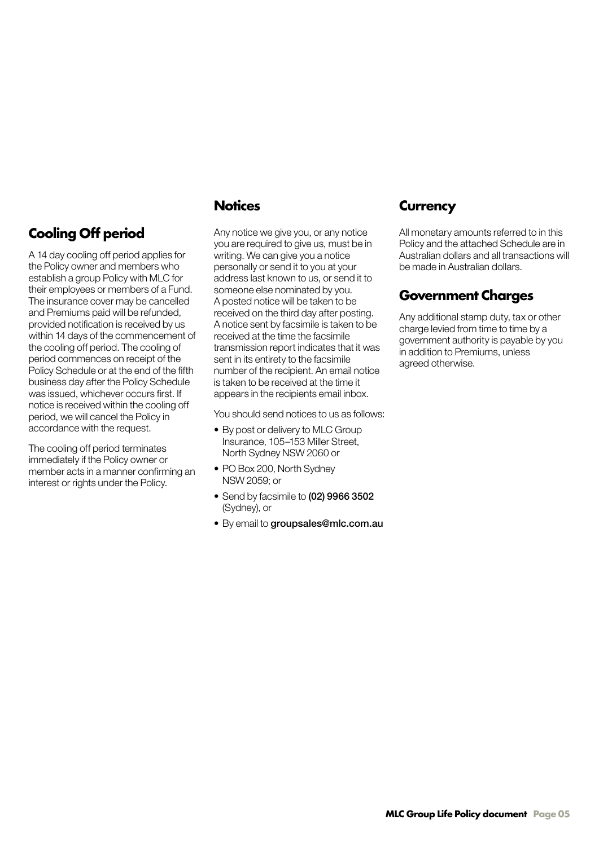#### <span id="page-8-0"></span>**Cooling Off period**

A 14 day cooling off period applies for the Policy owner and members who establish a group Policy with MLC for their employees or members of a Fund. The insurance cover may be cancelled and Premiums paid will be refunded, provided notification is received by us within 14 days of the commencement of the cooling off period. The cooling of period commences on receipt of the Policy Schedule or at the end of the fifth business day after the Policy Schedule was issued, whichever occurs first. If notice is received within the cooling off period, we will cancel the Policy in accordance with the request.

The cooling off period terminates immediately if the Policy owner or member acts in a manner confirming an interest or rights under the Policy.

#### **Notices**

Any notice we give you, or any notice you are required to give us, must be in writing. We can give you a notice personally or send it to you at your address last known to us, or send it to someone else nominated by you. A posted notice will be taken to be received on the third day after posting. A notice sent by facsimile is taken to be received at the time the facsimile transmission report indicates that it was sent in its entirety to the facsimile number of the recipient. An email notice is taken to be received at the time it appears in the recipients email inbox.

You should send notices to us as follows:

- By post or delivery to MLC Group Insurance, 105–153 Miller Street, North Sydney NSW 2060 or
- PO Box 200, North Sydney NSW 2059; or
- Send by facsimile to (02) 9966 3502 (Sydney), or
- By email to groupsales@mlc.com.au

#### **Currency**

All monetary amounts referred to in this Policy and the attached Schedule are in Australian dollars and all transactions will be made in Australian dollars.

#### **Government Charges**

Any additional stamp duty, tax or other charge levied from time to time by a government authority is payable by you in addition to Premiums, unless agreed otherwise.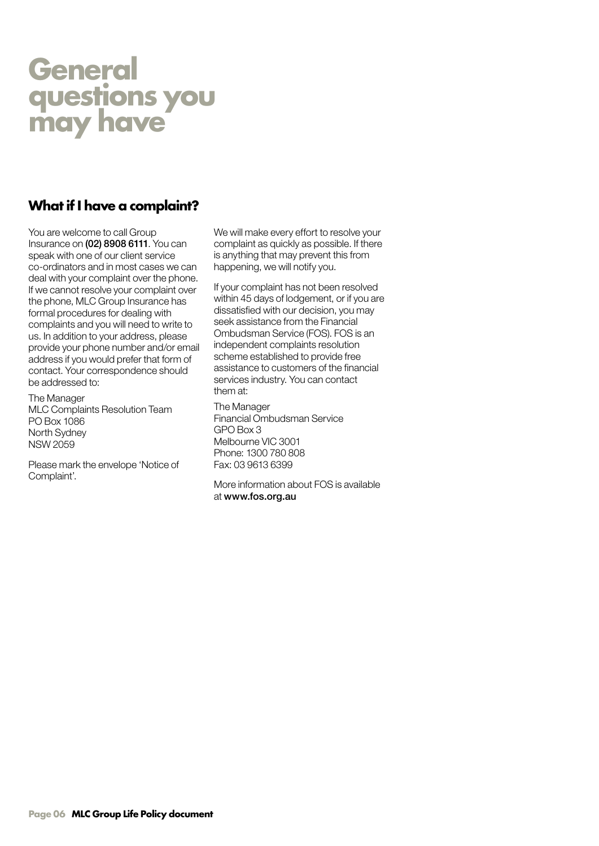### <span id="page-9-0"></span>**General questions you may have**

#### **What if I have a complaint?**

You are welcome to call Group Insurance on (02) 8908 6111. You can speak with one of our client service co-ordinators and in most cases we can deal with your complaint over the phone. If we cannot resolve your complaint over the phone, MLC Group Insurance has formal procedures for dealing with complaints and you will need to write to us. In addition to your address, please provide your phone number and/or email address if you would prefer that form of contact. Your correspondence should be addressed to:

The Manager MLC Complaints Resolution Team PO Box 1086 North Sydney NSW 2059

Please mark the envelope 'Notice of Complaint'.

We will make every effort to resolve your complaint as quickly as possible. If there is anything that may prevent this from happening, we will notify you.

If your complaint has not been resolved within 45 days of lodgement, or if you are dissatisfied with our decision, you may seek assistance from the Financial Ombudsman Service (FOS). FOS is an independent complaints resolution scheme established to provide free assistance to customers of the financial services industry. You can contact them at:

The Manager Financial Ombudsman Service GPO Box 3 Melbourne VIC 3001 Phone: 1300 780 808 Fax: 03 9613 6399

More information about FOS is available at www.fos.org.au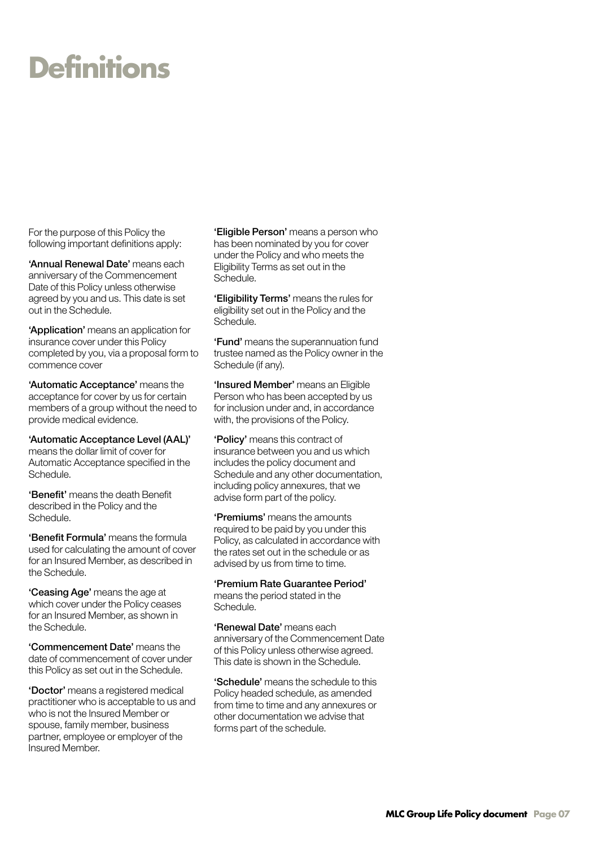## <span id="page-10-0"></span>**Definitions**

For the purpose of this Policy the following important definitions apply:

'Annual Renewal Date' means each anniversary of the Commencement Date of this Policy unless otherwise agreed by you and us. This date is set out in the Schedule.

'Application' means an application for insurance cover under this Policy completed by you, via a proposal form to commence cover

'Automatic Acceptance' means the acceptance for cover by us for certain members of a group without the need to provide medical evidence.

'Automatic Acceptance Level (AAL)' means the dollar limit of cover for Automatic Acceptance specified in the Schedule.

'Benefit' means the death Benefit described in the Policy and the Schedule.

'Benefit Formula' means the formula used for calculating the amount of cover for an Insured Member, as described in the Schedule.

'Ceasing Age' means the age at which cover under the Policy ceases for an Insured Member, as shown in the Schedule.

'Commencement Date' means the date of commencement of cover under this Policy as set out in the Schedule.

'Doctor' means a registered medical practitioner who is acceptable to us and who is not the Insured Member or spouse, family member, business partner, employee or employer of the Insured Member.

'Eligible Person' means a person who has been nominated by you for cover under the Policy and who meets the Eligibility Terms as set out in the Schedule.

'Eligibility Terms' means the rules for eligibility set out in the Policy and the Schedule.

'Fund' means the superannuation fund trustee named as the Policy owner in the Schedule (if any).

'Insured Member' means an Eligible Person who has been accepted by us for inclusion under and, in accordance with, the provisions of the Policy.

'Policy' means this contract of insurance between you and us which includes the policy document and Schedule and any other documentation, including policy annexures, that we advise form part of the policy.

'Premiums' means the amounts required to be paid by you under this Policy, as calculated in accordance with the rates set out in the schedule or as advised by us from time to time.

'Premium Rate Guarantee Period' means the period stated in the Schedule.

'Renewal Date' means each anniversary of the Commencement Date of this Policy unless otherwise agreed. This date is shown in the Schedule.

'Schedule' means the schedule to this Policy headed schedule, as amended from time to time and any annexures or other documentation we advise that forms part of the schedule.